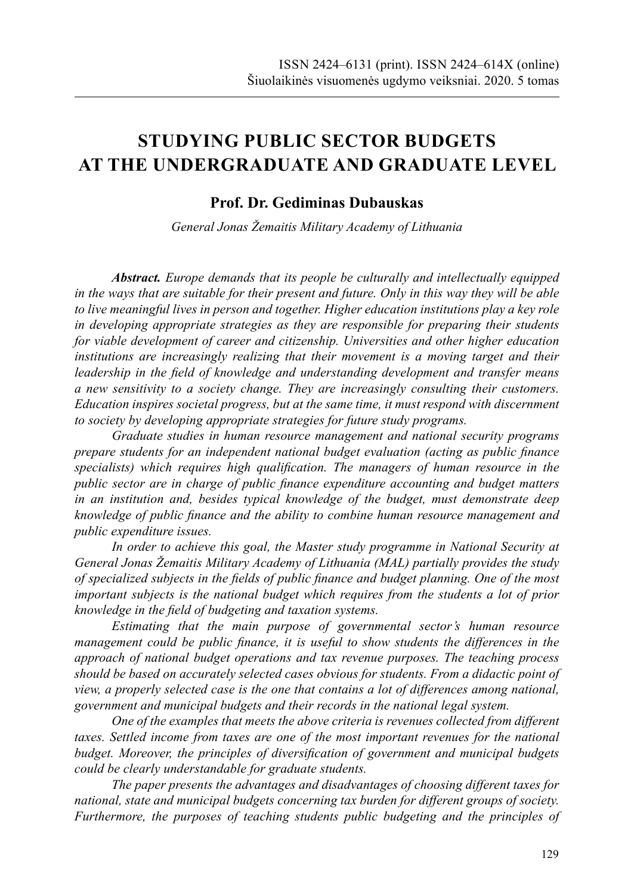# **STUDYING PUBLIC SECTOR BUDGETS AT THE UNDERGRADUATE AND GRADUATE LEVEL**

## **Prof. Dr. Gediminas Dubauskas**

*General Jonas Žemaitis Military Academy of Lithuania* 

*Abstract. Europe demands that its people be culturally and intellectually equipped in the ways that are suitable for their present and future. Only in this way they will be able to live meaningful lives in person and together. Higher education institutions play a key role in developing appropriate strategies as they are responsible for preparing their students for viable development of career and citizenship. Universities and other higher education institutions are increasingly realizing that their movement is a moving target and their leadership in the field of knowledge and understanding development and transfer means a new sensitivity to a society change. They are increasingly consulting their customers. Education inspires societal progress, but at the same time, it must respond with discernment to society by developing appropriate strategies for future study programs.*

*Graduate studies in human resource management and national security programs prepare students for an independent national budget evaluation (acting as public finance specialists) which requires high qualification. The managers of human resource in the public sector are in charge of public finance expenditure accounting and budget matters in an institution and, besides typical knowledge of the budget, must demonstrate deep knowledge of public finance and the ability to combine human resource management and public expenditure issues.*

*In order to achieve this goal, the Master study programme in National Security at General Jonas Žemaitis Military Academy of Lithuania (MAL) partially provides the study of specialized subjects in the fields of public finance and budget planning. One of the most important subjects is the national budget which requires from the students a lot of prior knowledge in the field of budgeting and taxation systems.*

*Estimating that the main purpose of governmental sector's human resource management could be public finance, it is useful to show students the differences in the approach of national budget operations and tax revenue purposes. The teaching process should be based on accurately selected cases obvious for students. From a didactic point of view, a properly selected case is the one that contains a lot of differences among national, government and municipal budgets and their records in the national legal system.*

*One of the examples that meets the above criteria is revenues collected from different taxes. Settled income from taxes are one of the most important revenues for the national budget. Moreover, the principles of diversification of government and municipal budgets could be clearly understandable for graduate students.*

*The paper presents the advantages and disadvantages of choosing different taxes for national, state and municipal budgets concerning tax burden for different groups of society. Furthermore, the purposes of teaching students public budgeting and the principles of*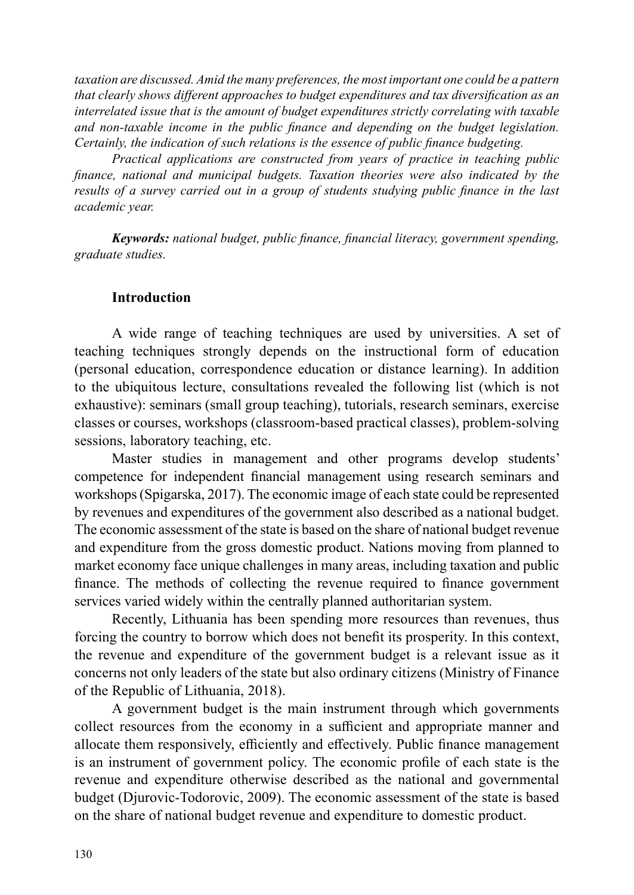*taxation are discussed. Amid the many preferences, the most important one could be a pattern that clearly shows different approaches to budget expenditures and tax diversification as an interrelated issue that is the amount of budget expenditures strictly correlating with taxable and non-taxable income in the public finance and depending on the budget legislation. Certainly, the indication of such relations is the essence of public finance budgeting.*

*Practical applications are constructed from years of practice in teaching public finance, national and municipal budgets. Taxation theories were also indicated by the results of a survey carried out in a group of students studying public finance in the last academic year.*

*Keywords: national budget, public finance, financial literacy, government spending, graduate studies.*

## **Introduction**

A wide range of teaching techniques are used by universities. A set of teaching techniques strongly depends on the instructional form of education (personal education, correspondence education or distance learning). In addition to the ubiquitous lecture, consultations revealed the following list (which is not exhaustive): seminars (small group teaching), tutorials, research seminars, exercise classes or courses, workshops (classroom-based practical classes), problem-solving sessions, laboratory teaching, etc.

Master studies in management and other programs develop students' competence for independent financial management using research seminars and workshops (Spigarska, 2017). The economic image of each state could be represented by revenues and expenditures of the government also described as a national budget. The economic assessment of the state is based on the share of national budget revenue and expenditure from the gross domestic product. Nations moving from planned to market economy face unique challenges in many areas, including taxation and public finance. The methods of collecting the revenue required to finance government services varied widely within the centrally planned authoritarian system.

Recently, Lithuania has been spending more resources than revenues, thus forcing the country to borrow which does not benefit its prosperity. In this context, the revenue and expenditure of the government budget is a relevant issue as it concerns not only leaders of the state but also ordinary citizens (Ministry of Finance of the Republic of Lithuania, 2018).

A government budget is the main instrument through which governments collect resources from the economy in a sufficient and appropriate manner and allocate them responsively, efficiently and effectively. Public finance management is an instrument of government policy. The economic profile of each state is the revenue and expenditure otherwise described as the national and governmental budget (Djurovic-Todorovic, 2009). The economic assessment of the state is based on the share of national budget revenue and expenditure to domestic product.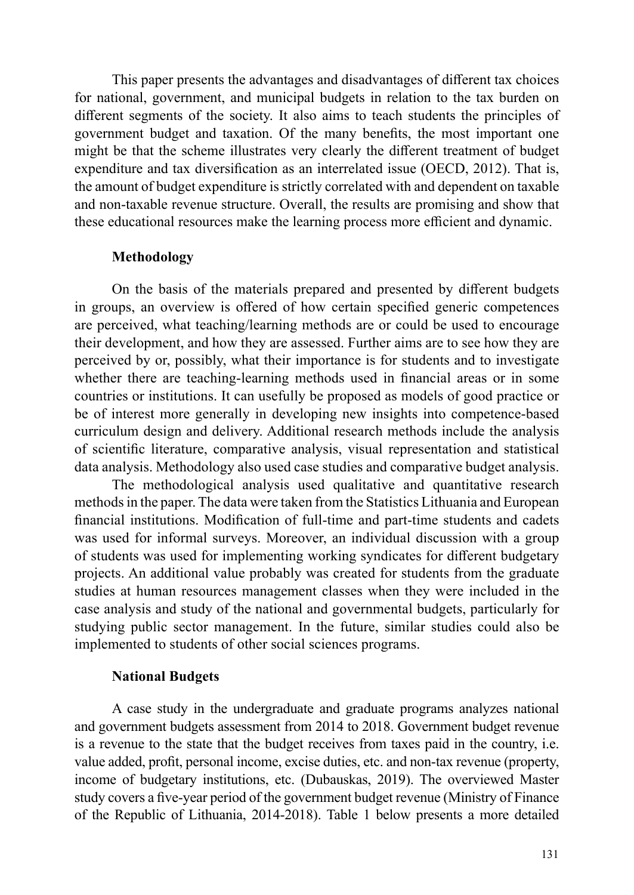This paper presents the advantages and disadvantages of different tax choices for national, government, and municipal budgets in relation to the tax burden on different segments of the society. It also aims to teach students the principles of government budget and taxation. Of the many benefits, the most important one might be that the scheme illustrates very clearly the different treatment of budget expenditure and tax diversification as an interrelated issue (OECD, 2012). That is, the amount of budget expenditure is strictly correlated with and dependent on taxable and non-taxable revenue structure. Overall, the results are promising and show that these educational resources make the learning process more efficient and dynamic.

## **Methodology**

On the basis of the materials prepared and presented by different budgets in groups, an overview is offered of how certain specified generic competences are perceived, what teaching/learning methods are or could be used to encourage their development, and how they are assessed. Further aims are to see how they are perceived by or, possibly, what their importance is for students and to investigate whether there are teaching-learning methods used in financial areas or in some countries or institutions. It can usefully be proposed as models of good practice or be of interest more generally in developing new insights into competence-based curriculum design and delivery. Additional research methods include the analysis of scientific literature, comparative analysis, visual representation and statistical data analysis. Methodology also used case studies and comparative budget analysis.

The methodological analysis used qualitative and quantitative research methods in the paper. The data were taken from the Statistics Lithuania and European financial institutions. Modification of full-time and part-time students and cadets was used for informal surveys. Moreover, an individual discussion with a group of students was used for implementing working syndicates for different budgetary projects. An additional value probably was created for students from the graduate studies at human resources management classes when they were included in the case analysis and study of the national and governmental budgets, particularly for studying public sector management. In the future, similar studies could also be implemented to students of other social sciences programs.

#### **National Budgets**

A case study in the undergraduate and graduate programs analyzes national and government budgets assessment from 2014 to 2018. Government budget revenue is a revenue to the state that the budget receives from taxes paid in the country, i.e. value added, profit, personal income, excise duties, etc. and non-tax revenue (property, income of budgetary institutions, etc. (Dubauskas, 2019). The overviewed Master study covers a five-year period of the government budget revenue (Ministry of Finance of the Republic of Lithuania, 2014-2018). Table 1 below presents a more detailed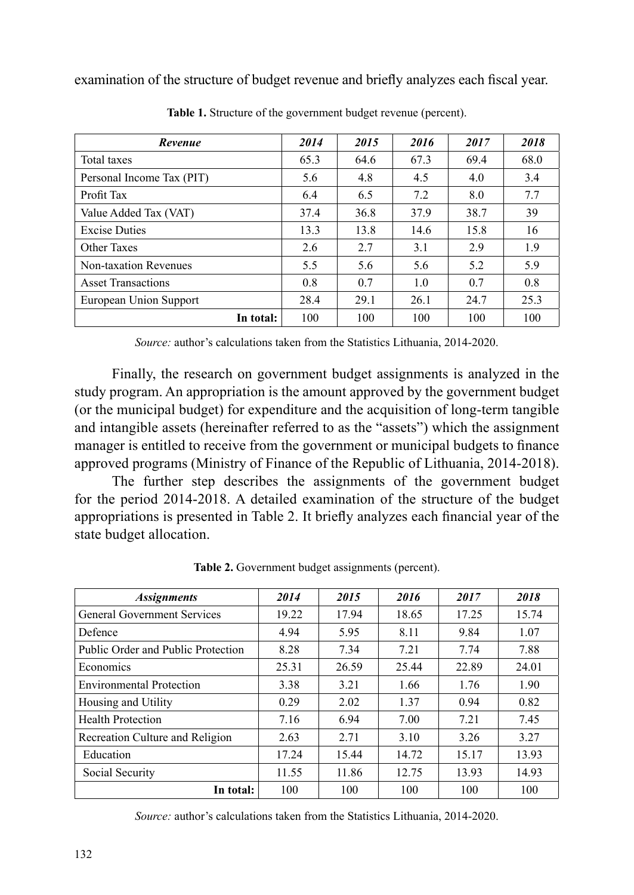examination of the structure of budget revenue and briefly analyzes each fiscal year.

| Revenue                   | 2014 | 2015 | 2016 | 2017 | 2018 |
|---------------------------|------|------|------|------|------|
| Total taxes               | 65.3 | 64.6 | 67.3 | 69.4 | 68.0 |
| Personal Income Tax (PIT) | 5.6  | 4.8  | 4.5  | 4.0  | 3.4  |
| Profit Tax                | 6.4  | 6.5  | 7.2  | 8.0  | 7.7  |
| Value Added Tax (VAT)     | 37.4 | 36.8 | 37.9 | 38.7 | 39   |
| <b>Excise Duties</b>      | 13.3 | 13.8 | 14.6 | 15.8 | 16   |
| Other Taxes               | 2.6  | 2.7  | 3.1  | 2.9  | 1.9  |
| Non-taxation Revenues     | 5.5  | 5.6  | 5.6  | 5.2  | 5.9  |
| <b>Asset Transactions</b> | 0.8  | 0.7  | 1.0  | 0.7  | 0.8  |
| European Union Support    | 28.4 | 29.1 | 26.1 | 24.7 | 25.3 |
| In total:                 | 100  | 100  | 100  | 100  | 100  |

**Table 1.** Structure of the government budget revenue (percent).

*Source:* author's calculations taken from the Statistics Lithuania, 2014-2020.

Finally, the research on government budget assignments is analyzed in the study program. An appropriation is the amount approved by the government budget (or the municipal budget) for expenditure and the acquisition of long-term tangible and intangible assets (hereinafter referred to as the "assets") which the assignment manager is entitled to receive from the government or municipal budgets to finance approved programs (Ministry of Finance of the Republic of Lithuania, 2014-2018).

The further step describes the assignments of the government budget for the period 2014-2018. A detailed examination of the structure of the budget appropriations is presented in Table 2. It briefly analyzes each financial year of the state budget allocation.

| <i><b>Assignments</b></i>          | 2014  | 2015  | 2016  | 2017  | 2018  |
|------------------------------------|-------|-------|-------|-------|-------|
| <b>General Government Services</b> | 19.22 | 17.94 | 18.65 | 17.25 | 15.74 |
| Defence                            | 4.94  | 5.95  | 8.11  | 9.84  | 1.07  |
| Public Order and Public Protection | 8.28  | 7.34  | 7.21  | 7.74  | 7.88  |
| Economics                          | 25.31 | 26.59 | 25.44 | 22.89 | 24.01 |
| <b>Environmental Protection</b>    | 3.38  | 3.21  | 1.66  | 1.76  | 1.90  |
| Housing and Utility                | 0.29  | 2.02  | 1.37  | 0.94  | 0.82  |
| <b>Health Protection</b>           | 7.16  | 6.94  | 7.00  | 7.21  | 7.45  |
| Recreation Culture and Religion    | 2.63  | 2.71  | 3.10  | 3.26  | 3.27  |
| Education                          | 17.24 | 15.44 | 14.72 | 15.17 | 13.93 |
| Social Security                    | 11.55 | 11.86 | 12.75 | 13.93 | 14.93 |
| In total:                          | 100   | 100   | 100   | 100   | 100   |

Table 2. Government budget assignments (percent).

*Source:* author's calculations taken from the Statistics Lithuania, 2014-2020.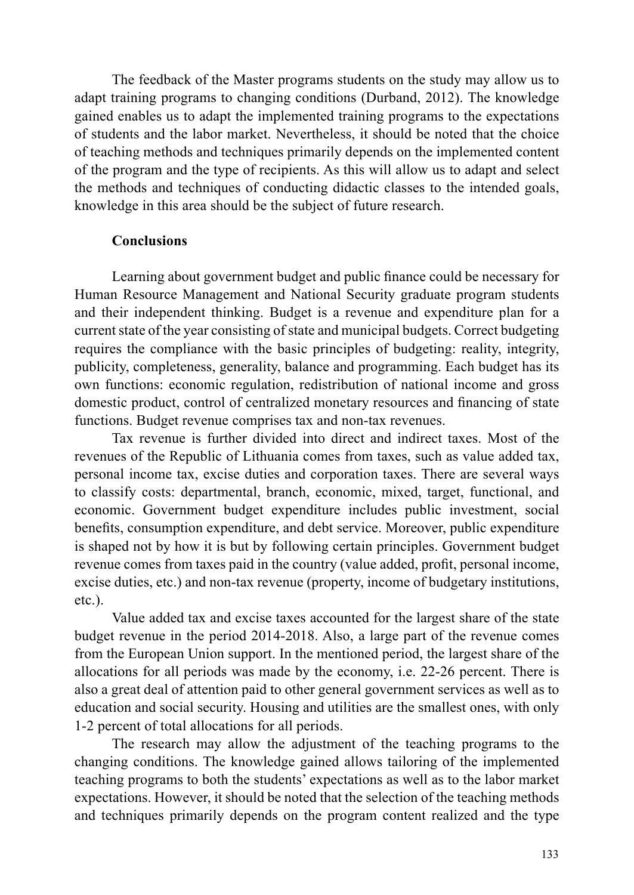The feedback of the Master programs students on the study may allow us to adapt training programs to changing conditions (Durband, 2012). The knowledge gained enables us to adapt the implemented training programs to the expectations of students and the labor market. Nevertheless, it should be noted that the choice of teaching methods and techniques primarily depends on the implemented content of the program and the type of recipients. As this will allow us to adapt and select the methods and techniques of conducting didactic classes to the intended goals, knowledge in this area should be the subject of future research.

# **Conclusions**

Learning about government budget and public finance could be necessary for Human Resource Management and National Security graduate program students and their independent thinking. Budget is a revenue and expenditure plan for a current state of the year consisting of state and municipal budgets. Correct budgeting requires the compliance with the basic principles of budgeting: reality, integrity, publicity, completeness, generality, balance and programming. Each budget has its own functions: economic regulation, redistribution of national income and gross domestic product, control of centralized monetary resources and financing of state functions. Budget revenue comprises tax and non-tax revenues.

Tax revenue is further divided into direct and indirect taxes. Most of the revenues of the Republic of Lithuania comes from taxes, such as value added tax, personal income tax, excise duties and corporation taxes. There are several ways to classify costs: departmental, branch, economic, mixed, target, functional, and economic. Government budget expenditure includes public investment, social benefits, consumption expenditure, and debt service. Moreover, public expenditure is shaped not by how it is but by following certain principles. Government budget revenue comes from taxes paid in the country (value added, profit, personal income, excise duties, etc.) and non-tax revenue (property, income of budgetary institutions, etc.).

Value added tax and excise taxes accounted for the largest share of the state budget revenue in the period 2014-2018. Also, a large part of the revenue comes from the European Union support. In the mentioned period, the largest share of the allocations for all periods was made by the economy, i.e. 22-26 percent. There is also a great deal of attention paid to other general government services as well as to education and social security. Housing and utilities are the smallest ones, with only 1-2 percent of total allocations for all periods.

The research may allow the adjustment of the teaching programs to the changing conditions. The knowledge gained allows tailoring of the implemented teaching programs to both the students' expectations as well as to the labor market expectations. However, it should be noted that the selection of the teaching methods and techniques primarily depends on the program content realized and the type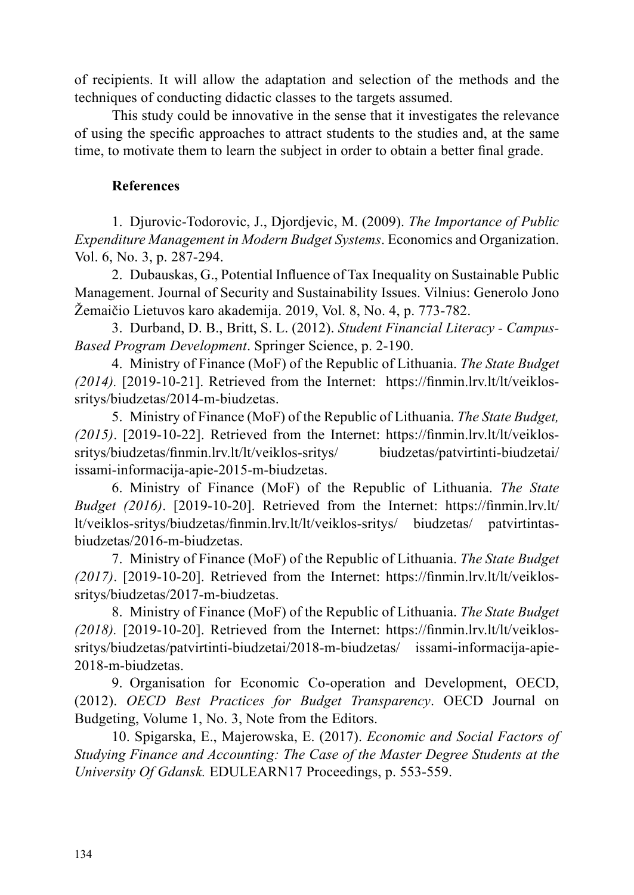of recipients. It will allow the adaptation and selection of the methods and the techniques of conducting didactic classes to the targets assumed.

This study could be innovative in the sense that it investigates the relevance of using the specific approaches to attract students to the studies and, at the same time, to motivate them to learn the subject in order to obtain a better final grade.

# **References**

1. Djurovic-Todorovic, J., Djordjevic, M. (2009). *The Importance of Public Expenditure Management in Modern Budget Systems*. Economics and Organization. Vol. 6, No. 3, p. 287-294.

2. Dubauskas, G., Potential Influence of Tax Inequality on Sustainable Public Management. Journal of Security and Sustainability Issues. Vilnius: Generolo Jono Žemaičio Lietuvos karo akademija. 2019, Vol. 8, No. 4, p. 773-782.

3. Durband, D. B., Britt, S. L. (2012). *Student Financial Literacy - Campus-Based Program Development*. Springer Science, p. 2-190.

4. Ministry of Finance (MoF) of the Republic of Lithuania. *The State Budget (2014).* [2019-10-21]. Retrieved from the Internet: https://finmin.lrv.lt/lt/veiklossritys/biudzetas/2014-m-biudzetas.

5. Ministry of Finance (MoF) of the Republic of Lithuania. *The State Budget, (2015)*. [2019-10-22]. Retrieved from the Internet: https://finmin.lrv.lt/lt/veiklossritys/biudzetas/finmin.lrv.lt/lt/veiklos-sritys/ biudzetas/patvirtinti-biudzetai/ issami-informacija-apie-2015-m-biudzetas.

6. Ministry of Finance (MoF) of the Republic of Lithuania. *The State Budget (2016)*. [2019-10-20]. Retrieved from the Internet: https://finmin.lrv.lt/ lt/veiklos-sritys/biudzetas/finmin.lrv.lt/lt/veiklos-sritys/ biudzetas/ patvirtintasbiudzetas/2016-m-biudzetas.

7. Ministry of Finance (MoF) of the Republic of Lithuania. *The State Budget (2017)*. [2019-10-20]. Retrieved from the Internet: https://finmin.lrv.lt/lt/veiklossritys/biudzetas/2017-m-biudzetas.

8. Ministry of Finance (MoF) of the Republic of Lithuania. *The State Budget (2018).* [2019-10-20]. Retrieved from the Internet: https://finmin.lrv.lt/lt/veiklossritys/biudzetas/patvirtinti-biudzetai/2018-m-biudzetas/ issami-informacija-apie-2018-m-biudzetas.

9. Organisation for Economic Co-operation and Development, OECD, (2012). *OECD Best Practices for Budget Transparency*. OECD Journal on Budgeting, Volume 1, No. 3, Note from the Editors.

10. Spigarska, E., Majerowska, E. (2017). *Economic and Social Factors of Studying Finance and Accounting: The Case of the Master Degree Students at the University Of Gdansk.* EDULEARN17 Proceedings, p. 553-559.